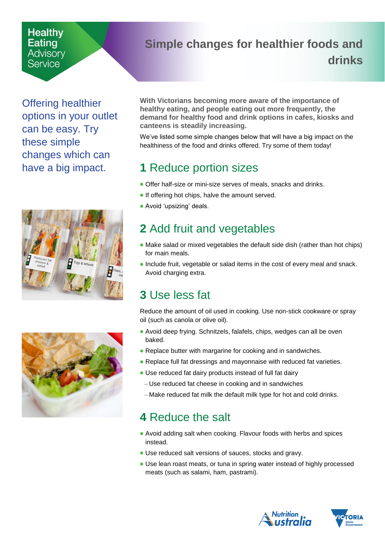#### **Healthy** Eating Advisory Service

## <span id="page-0-0"></span>**Simple changes for healthier foods and drinks**

Offering healthier options in your outlet can be easy. Try these simple changes which can have a big impact.





**With Victorians becoming more aware of the importance of healthy eating, and people eating out more frequently, the demand for healthy food and drink options in cafes, kiosks and canteens is steadily increasing.**

We've listed some simple changes below that will have a big impact on the healthiness of the food and drinks offered. Try some of them today!

# **1** Reduce portion sizes

- Offer half-size or mini-size serves of meals, snacks and drinks.
- If offering hot chips, halve the amount served.
- Avoid 'upsizing' deals.

## **2** Add fruit and vegetables

- Make salad or mixed vegetables the default side dish (rather than hot chips) for main meals.
- Include fruit, vegetable or salad items in the cost of every meal and snack. Avoid charging extra.

# **3** Use less fat

Reduce the amount of oil used in cooking. Use non-stick cookware or spray oil (such as canola or olive oil).

- Avoid deep frying. Schnitzels, falafels, chips, wedges can all be oven baked.
- Replace butter with margarine for cooking and in sandwiches.
- Replace full fat dressings and mayonnaise with reduced fat varieties.
- Use reduced fat dairy products instead of full fat dairy
	- Use reduced fat cheese in cooking and in sandwiches
- Make reduced fat milk the default milk type for hot and cold drinks.

# **4** Reduce the salt

- Avoid adding salt when cooking. Flavour foods with herbs and spices instead.
- Use reduced salt versions of sauces, stocks and gravy.
- Use lean roast meats, or tuna in spring water instead of highly processed meats (such as salami, ham, pastrami).